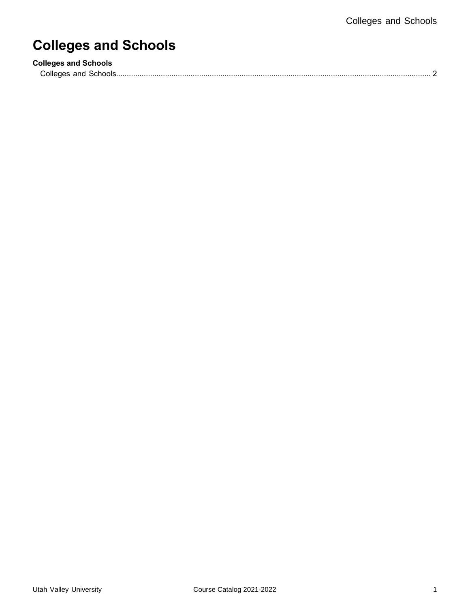# **Colleges and Schools**

| <b>Colleges and Schools</b> |  |
|-----------------------------|--|
| Colleges and Schools.       |  |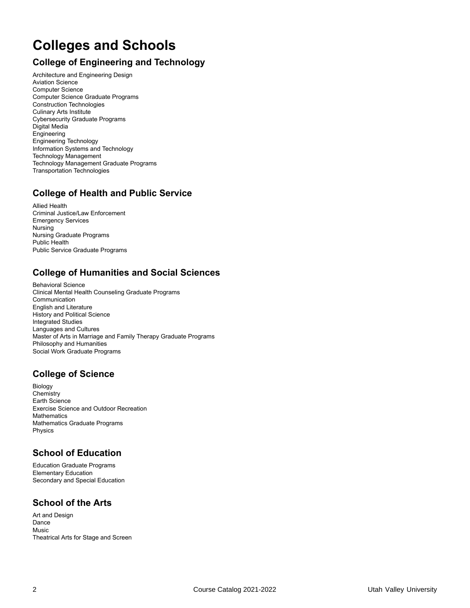## <span id="page-1-0"></span>**Colleges and Schools**

## **College of Engineering and Technology**

Architecture and Engineering Design Aviation Science Computer Science Computer Science Graduate Programs Construction Technologies Culinary Arts Institute Cybersecurity Graduate Programs Digital Media Engineering Engineering Technology Information Systems and Technology Technology Management Technology Management Graduate Programs Transportation Technologies

## **College of Health and Public Service**

Allied Health Criminal Justice/Law Enforcement Emergency Services Nursing Nursing Graduate Programs Public Health Public Service Graduate Programs

#### **College of Humanities and Social Sciences**

Behavioral Science Clinical Mental Health Counseling Graduate Programs Communication English and Literature History and Political Science Integrated Studies Languages and Cultures Master of Arts in Marriage and Family Therapy Graduate Programs Philosophy and Humanities Social Work Graduate Programs

## **College of Science**

Biology **Chemistry** Earth Science Exercise Science and Outdoor Recreation **Mathematics** Mathematics Graduate Programs Physics

## **School of Education**

Education Graduate Programs Elementary Education Secondary and Special Education

## **School of the Arts**

Art and Design Dance **Music** Theatrical Arts for Stage and Screen